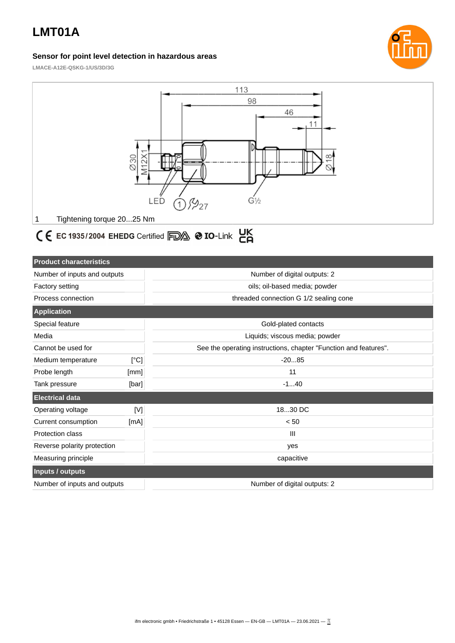## **LMT01A**

#### **Sensor for point level detection in hazardous areas**



**LMACE-A12E-QSKG-1/US/3D/3G**



# C E EC 1935/2004 EHEDG Certified FDA @ IO-Link CA

| <b>Product characteristics</b> |       |                                                                  |  |  |
|--------------------------------|-------|------------------------------------------------------------------|--|--|
| Number of inputs and outputs   |       | Number of digital outputs: 2                                     |  |  |
| Factory setting                |       | oils; oil-based media; powder                                    |  |  |
| Process connection             |       | threaded connection G 1/2 sealing cone                           |  |  |
| <b>Application</b>             |       |                                                                  |  |  |
| Special feature                |       | Gold-plated contacts                                             |  |  |
| Media                          |       | Liquids; viscous media; powder                                   |  |  |
| Cannot be used for             |       | See the operating instructions, chapter "Function and features". |  |  |
| Medium temperature             | [°C]  | $-2085$                                                          |  |  |
| Probe length                   | [mm]  | 11                                                               |  |  |
| Tank pressure                  | [bar] | $-140$                                                           |  |  |
| <b>Electrical data</b>         |       |                                                                  |  |  |
| Operating voltage              | [V]   | 1830 DC                                                          |  |  |
| Current consumption            | [mA]  | $< 50$                                                           |  |  |
| <b>Protection class</b>        |       | $\mathbf{III}$                                                   |  |  |
| Reverse polarity protection    |       | yes                                                              |  |  |
| Measuring principle            |       | capacitive                                                       |  |  |
| Inputs / outputs               |       |                                                                  |  |  |
| Number of inputs and outputs   |       | Number of digital outputs: 2                                     |  |  |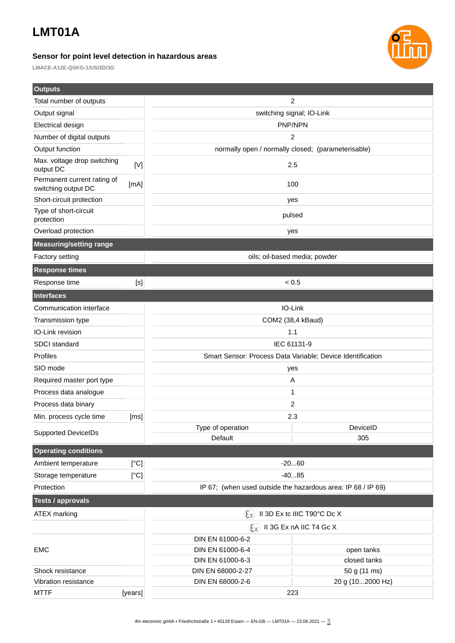### **LMT01A**

**Outputs**

#### **Sensor for point level detection in hazardous areas**



**LMACE-A12E-QSKG-1/US/3D/3G**

| <b>Outputs</b>                                     |         |                                                               |                              |  |
|----------------------------------------------------|---------|---------------------------------------------------------------|------------------------------|--|
| Total number of outputs                            |         | 2                                                             |                              |  |
| Output signal                                      |         | switching signal; IO-Link                                     |                              |  |
| Electrical design                                  |         | PNP/NPN                                                       |                              |  |
| Number of digital outputs                          |         | 2                                                             |                              |  |
| Output function                                    |         | normally open / normally closed; (parameterisable)            |                              |  |
| Max. voltage drop switching<br>output DC           | $[V]$   | 2.5                                                           |                              |  |
| Permanent current rating of<br>switching output DC | [mA]    | 100                                                           |                              |  |
| Short-circuit protection                           |         | yes                                                           |                              |  |
| Type of short-circuit<br>protection                |         | pulsed                                                        |                              |  |
| Overload protection                                |         | yes                                                           |                              |  |
| <b>Measuring/setting range</b>                     |         |                                                               |                              |  |
| Factory setting                                    |         | oils; oil-based media; powder                                 |                              |  |
| <b>Response times</b>                              |         |                                                               |                              |  |
| Response time                                      | $[S]$   | ${}_{0.5}$                                                    |                              |  |
| <b>Interfaces</b>                                  |         |                                                               |                              |  |
| Communication interface                            |         | IO-Link                                                       |                              |  |
| Transmission type                                  |         | COM2 (38,4 kBaud)                                             |                              |  |
| IO-Link revision                                   |         | 1.1                                                           |                              |  |
| SDCI standard                                      |         | IEC 61131-9                                                   |                              |  |
| Profiles                                           |         | Smart Sensor: Process Data Variable; Device Identification    |                              |  |
| SIO mode                                           |         | yes                                                           |                              |  |
| Required master port type                          |         | A                                                             |                              |  |
| Process data analogue                              |         | 1                                                             |                              |  |
| Process data binary                                |         | 2                                                             |                              |  |
| Min. process cycle time                            | [ms]    | 2.3                                                           |                              |  |
| <b>Supported DeviceIDs</b>                         |         | Type of operation                                             | DeviceID                     |  |
|                                                    |         | Default                                                       | 305                          |  |
| <b>Operating conditions</b>                        |         |                                                               |                              |  |
| Ambient temperature                                | [°C]    | $-2060$                                                       |                              |  |
| Storage temperature                                | [°C]    | $-4085$                                                       |                              |  |
| Protection                                         |         | IP 67; (when used outside the hazardous area: IP 68 / IP 69)  |                              |  |
| <b>Tests / approvals</b>                           |         |                                                               |                              |  |
| <b>ATEX marking</b>                                |         | II 3D Ex tc IIIC T90°C Dc X<br>$\langle \xi_{\chi} \rangle$   |                              |  |
|                                                    |         | $\langle \xi_{\mathbf{x}} \rangle$<br>II 3G Ex nA IIC T4 Gc X |                              |  |
|                                                    |         | DIN EN 61000-6-2                                              |                              |  |
| <b>EMC</b>                                         |         | DIN EN 61000-6-4                                              | open tanks                   |  |
| Shock resistance                                   |         | DIN EN 61000-6-3<br>DIN EN 68000-2-27                         | closed tanks<br>50 g (11 ms) |  |
| Vibration resistance                               |         | DIN EN 68000-2-6                                              | 20 g (102000 Hz)             |  |
| <b>MTTF</b>                                        | [years] | 223                                                           |                              |  |
|                                                    |         |                                                               |                              |  |